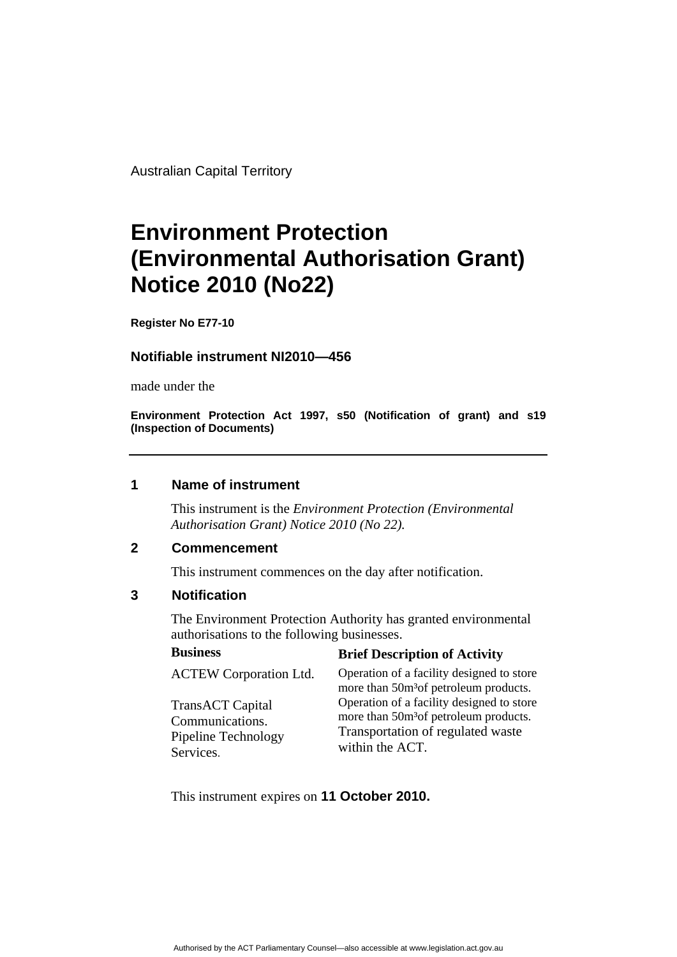Australian Capital Territory

# **Environment Protection (Environmental Authorisation Grant) Notice 2010 (No22)**

**Register No E77-10** 

## **Notifiable instrument NI2010—456**

made under the

**Environment Protection Act 1997, s50 (Notification of grant) and s19 (Inspection of Documents)** 

### **1 Name of instrument**

This instrument is the *Environment Protection (Environmental Authorisation Grant) Notice 2010 (No 22).* 

## **2 Commencement**

This instrument commences on the day after notification.

# **3 Notification**

The Environment Protection Authority has granted environmental authorisations to the following businesses.

#### **Business Brief Description of Activity**

ACTEW Corporation Ltd. TransACT Capital Communications. Pipeline Technology Services. Operation of a facility designed to store more than 50m<sup>3</sup>of petroleum products. Operation of a facility designed to store more than 50m<sup>3</sup>of petroleum products. Transportation of regulated waste within the ACT.

This instrument expires on **11 October 2010.**